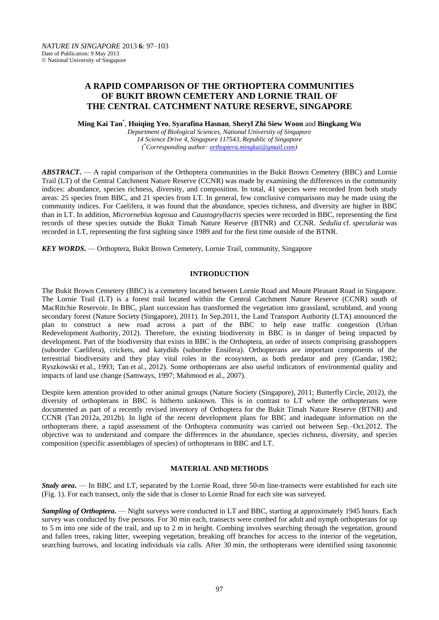# **A RAPID COMPARISON OF THE ORTHOPTERA COMMUNITIES OF BUKIT BROWN CEMETERY AND LORNIE TRAIL OF THE CENTRAL CATCHMENT NATURE RESERVE, SINGAPORE**

**Ming Kai Tan**\* , **Huiqing Yeo**, **Syarafina Hasnan**, **Sheryl Zhi Siew Woon** and **Bingkang Wu**

*Department of Biological Sciences, National University of Singapore 14 Science Drive 4, Singapore 117543, Republic of Singapore ( \*Corresponding author: [orthoptera.mingkai@gmail.com\)](mailto:orthoptera.mingkai@gmail.com)*

*ABSTRACT***.** — A rapid comparison of the Orthoptera communities in the Bukit Brown Cemetery (BBC) and Lornie Trail (LT) of the Central Catchment Nature Reserve (CCNR) was made by examining the differences in the community indices: abundance, species richness, diversity, and composition. In total, 41 species were recorded from both study areas: 25 species from BBC, and 21 species from LT. In general, few conclusive comparisons may be made using the community indices. For Caelifera, it was found that the abundance, species richness, and diversity are higher in BBC than in LT. In addition, *Micrornebius kopisua* and *Caustogryllacris* species were recorded in BBC, representing the first records of these species outside the Bukit Timah Nature Reserve (BTNR) and CCNR. *Sedulia* cf. *specularia* was recorded in LT, representing the first sighting since 1989 and for the first time outside of the BTNR.

*KEY WORDS***.** — Orthoptera, Bukit Brown Cemetery, Lornie Trail, community, Singapore

# **INTRODUCTION**

The Bukit Brown Cemetery (BBC) is a cemetery located between Lornie Road and Mount Pleasant Road in Singapore. The Lornie Trail (LT) is a forest trail located within the Central Catchment Nature Reserve (CCNR) south of MacRitchie Reservoir. In BBC, plant succession has transformed the vegetation into grassland, scrubland, and young secondary forest (Nature Society (Singapore), 2011). In Sep.2011, the Land Transport Authority (LTA) announced the plan to construct a new road across a part of the BBC to help ease traffic congestion (Urban Redevelopment Authority, 2012). Therefore, the existing biodiversity in BBC is in danger of being impacted by development. Part of the biodiversity that exists in BBC is the Orthoptera, an order of insects comprising grasshoppers (suborder Caelifera), crickets, and katydids (suborder Ensifera). Orthopterans are important components of the terrestrial biodiversity and they play vital roles in the ecosystem, as both predator and prey (Gandar, 1982; Ryszkowski et al., 1993; Tan et al., 2012). Some orthopterans are also useful indicators of environmental quality and impacts of land use change (Samways, 1997; Mahmood et al., 2007).

Despite keen attention provided to other animal groups (Nature Society (Singapore), 2011; Butterfly Circle, 2012), the diversity of orthopterans in BBC is hitherto unknown. This is in contrast to LT where the orthopterans were documented as part of a recently revised inventory of Orthoptera for the Bukit Timah Nature Reserve (BTNR) and CCNR (Tan 2012a, 2012b). In light of the recent development plans for BBC and inadequate information on the orthopterans there, a rapid assessment of the Orthoptera community was carried out between Sep.–Oct.2012. The objective was to understand and compare the differences in the abundance, species richness, diversity, and species composition (specific assemblages of species) of orthopterans in BBC and LT.

## **MATERIAL AND METHODS**

*Study area***.** — In BBC and LT, separated by the Lornie Road, three 50-m line-transects were established for each site (Fig. 1). For each transect, only the side that is closer to Lornie Road for each site was surveyed.

**Sampling of Orthoptera.** — Night surveys were conducted in LT and BBC, starting at approximately 1945 hours. Each survey was conducted by five persons. For 30 min each, transects were combed for adult and nymph orthopterans for up to 5 m into one side of the trail, and up to 2 m in height. Combing involves searching through the vegetation, ground and fallen trees, raking litter, sweeping vegetation, breaking off branches for access to the interior of the vegetation, searching burrows, and locating individuals via calls. After 30 min, the orthopterans were identified using taxonomic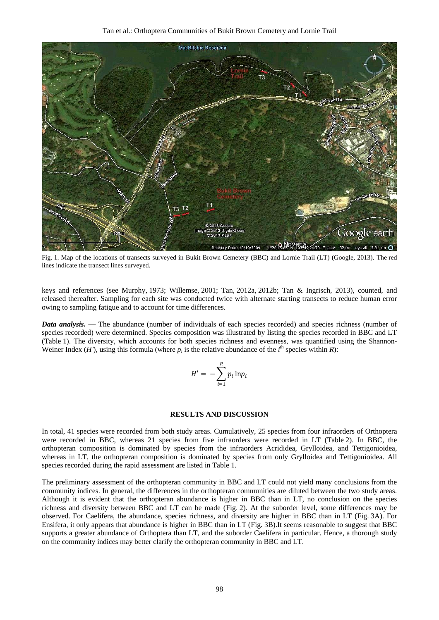Tan et al.: Orthoptera Communities of Bukit Brown Cemetery and Lornie Trail



Fig. 1. Map of the locations of transects surveyed in Bukit Brown Cemetery (BBC) and Lornie Trail (LT) (Google, 2013). The red lines indicate the transect lines surveyed.

keys and references (see Murphy, 1973; Willemse, 2001; Tan, 2012a, 2012b; Tan & Ingrisch, 2013), counted, and released thereafter. Sampling for each site was conducted twice with alternate starting transects to reduce human error owing to sampling fatigue and to account for time differences.

*Data analysis*. — The abundance (number of individuals of each species recorded) and species richness (number of species recorded) were determined. Species composition was illustrated by listing the species recorded in BBC and LT (Table 1). The diversity, which accounts for both species richness and evenness, was quantified using the Shannon-Weiner Index (*H'*), using this formula (where  $p_i$  is the relative abundance of the  $i^{\text{th}}$  species within *R*):

$$
H' = -\sum_{i=1}^{R} p_i \ln p_i
$$

#### **RESULTS AND DISCUSSION**

In total, 41 species were recorded from both study areas. Cumulatively, 25 species from four infraorders of Orthoptera were recorded in BBC, whereas 21 species from five infraorders were recorded in LT (Table 2). In BBC, the orthopteran composition is dominated by species from the infraorders Acrididea, Grylloidea, and Tettigonioidea, whereas in LT, the orthopteran composition is dominated by species from only Grylloidea and Tettigonioidea. All species recorded during the rapid assessment are listed in Table 1.

The preliminary assessment of the orthopteran community in BBC and LT could not yield many conclusions from the community indices. In general, the differences in the orthopteran communities are diluted between the two study areas. Although it is evident that the orthopteran abundance is higher in BBC than in LT, no conclusion on the species richness and diversity between BBC and LT can be made (Fig. 2). At the suborder level, some differences may be observed. For Caelifera, the abundance, species richness, and diversity are higher in BBC than in LT (Fig. 3A). For Ensifera, it only appears that abundance is higher in BBC than in LT (Fig. 3B).It seems reasonable to suggest that BBC supports a greater abundance of Orthoptera than LT, and the suborder Caelifera in particular. Hence, a thorough study on the community indices may better clarify the orthopteran community in BBC and LT.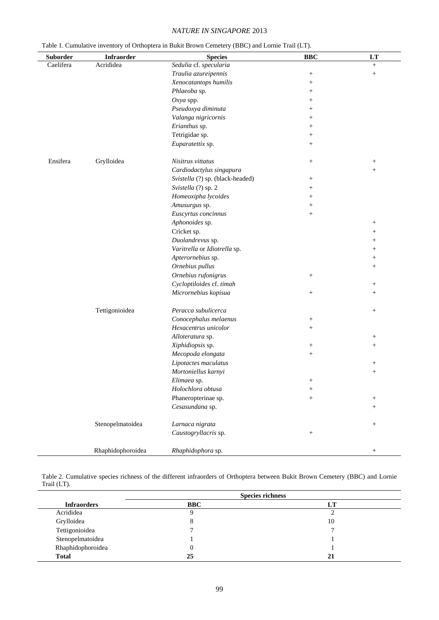# *NATURE IN SINGAPORE* 2013

| Table 1. Cumulative inventory of Orthoptera in Bukit Brown Cemetery (BBC) and Lornie Trail (LT). |  |  |  |  |  |  |  |  |  |  |  |
|--------------------------------------------------------------------------------------------------|--|--|--|--|--|--|--|--|--|--|--|
|--------------------------------------------------------------------------------------------------|--|--|--|--|--|--|--|--|--|--|--|

| Suborder  | Infraorder        | <b>Species</b>                   | <b>BBC</b>                       | $\mathbf{L}\mathbf{T}$ |
|-----------|-------------------|----------------------------------|----------------------------------|------------------------|
| Caelifera | Acrididea         | Sedulia cf. specularia           |                                  | $^{+}$                 |
|           |                   | Traulia azureipennis             | $\! + \!\!\!\!$                  | $+$                    |
|           |                   | Xenocatantops humilis            | $^{+}$                           |                        |
|           |                   | Phlaeoba sp.                     | $\begin{array}{c} + \end{array}$ |                        |
|           |                   | Oxya spp.                        | $^{+}$                           |                        |
|           |                   | Pseudoxya diminuta               | $^{+}$                           |                        |
|           |                   | Valanga nigricornis              | $^{+}$                           |                        |
|           |                   | Erianthus sp.                    | $^{+}$                           |                        |
|           |                   | Tetrigidae sp.                   | $^{+}$                           |                        |
|           |                   | Euparatettix sp.                 | $\begin{array}{c} + \end{array}$ |                        |
| Ensifera  | Grylloidea        | Nisitrus vittatus                | $^{+}$                           | $\! + \!\!\!\!$        |
|           |                   | Cardiodactylus singapura         |                                  | $^{+}$                 |
|           |                   | Svistella (?) sp. (black-headed) | $^{+}$                           |                        |
|           |                   | Svistella (?) sp. 2              | $^{+}$                           |                        |
|           |                   | Homeoxipha lycoides              | $^{+}$                           |                        |
|           |                   | Amusurgus sp.                    | $^{+}$                           |                        |
|           |                   | Euscyrtus concinnus              | $^{+}$                           |                        |
|           |                   | Aphonoides sp.                   |                                  | $^{+}$                 |
|           |                   | Cricket sp.                      |                                  | $^{+}$                 |
|           |                   | Duolandrevus sp.                 |                                  | $^{+}$                 |
|           |                   | Varitrella or Idiotrella sp.     |                                  | $^{+}$                 |
|           |                   | Apterornebius sp.                |                                  | $^{+}$                 |
|           |                   | Ornebius pullus                  |                                  | $^{+}$                 |
|           |                   | Ornebius rufonigrus              | $^{+}$                           |                        |
|           |                   | Cycloptiloides cf. timah         |                                  | $\! + \!\!\!\!$        |
|           |                   | Micrornebius kopisua             | $^{+}$                           | $^{+}$                 |
|           |                   |                                  |                                  |                        |
|           | Tettigonioidea    | Peracca subulicerca              |                                  | $^{+}$                 |
|           |                   | Conocephalus melaenus            | $^{+}$                           |                        |
|           |                   | Hexacentrus unicolor             | $^{+}$                           |                        |
|           |                   | Alloteratura sp.                 |                                  | $^{+}$                 |
|           |                   | Xiphidiopsis sp.                 | $^{+}$                           | $^{+}$                 |
|           |                   | Mecopoda elongata                | $\! + \!\!\!\!$                  |                        |
|           |                   | Lipotactes maculatus             |                                  | $^{+}$                 |
|           |                   | Mortoniellus karnyi              |                                  | $^{+}$                 |
|           |                   | Elimaea sp.                      | $^{+}$                           |                        |
|           |                   | Holochlora obtusa                | $^{+}$                           |                        |
|           |                   | Phaneropterinae sp.              | $\begin{array}{c} + \end{array}$ | $^{+}$                 |
|           |                   | Cesasundana sp.                  |                                  | $^{+}$                 |
|           | Stenopelmatoidea  | Larnaca nigrata                  |                                  | $^{+}$                 |
|           |                   | Caustogryllacris sp.             | $\! + \!\!\!\!$                  |                        |
|           | Rhaphidophoroidea | Rhaphidophora sp.                |                                  | $^{+}$                 |

Table 2. Cumulative species richness of the different infraorders of Orthoptera between Bukit Brown Cemetery (BBC) and Lornie Trail (LT).

|                    | <b>Species richness</b> |    |  |
|--------------------|-------------------------|----|--|
| <b>Infraorders</b> | <b>BBC</b>              | LT |  |
| Acrididea          |                         |    |  |
| Grylloidea         |                         | 10 |  |
| Tettigonioidea     |                         |    |  |
| Stenopelmatoidea   |                         |    |  |
| Rhaphidophoroidea  |                         |    |  |
| <b>Total</b>       | 25                      | 21 |  |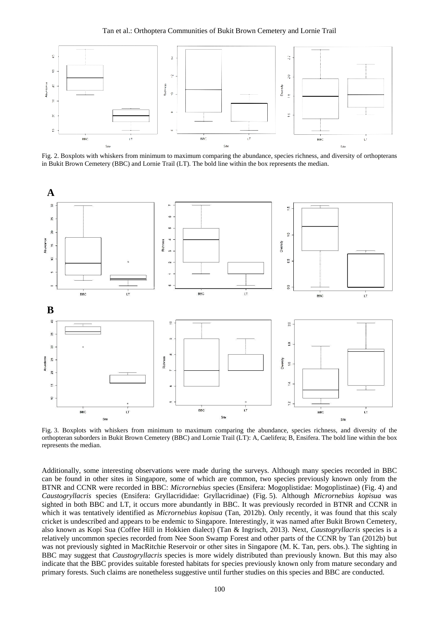

Fig. 2. Boxplots with whiskers from minimum to maximum comparing the abundance, species richness, and diversity of orthopterans in Bukit Brown Cemetery (BBC) and Lornie Trail (LT). The bold line within the box represents the median.



Fig. 3. Boxplots with whiskers from minimum to maximum comparing the abundance, species richness, and diversity of the orthopteran suborders in Bukit Brown Cemetery (BBC) and Lornie Trail (LT): A, Caelifera; B, Ensifera. The bold line within the box represents the median.

Additionally, some interesting observations were made during the surveys. Although many species recorded in BBC can be found in other sites in Singapore, some of which are common, two species previously known only from the BTNR and CCNR were recorded in BBC: *Micrornebius* species (Ensifera: Mogoplistidae: Mogoplistinae) (Fig. 4) and *Caustogryllacris* species (Ensifera: Gryllacrididae: Gryllacridinae) (Fig. 5). Although *Micrornebius kopisua* was sighted in both BBC and LT, it occurs more abundantly in BBC. It was previously recorded in BTNR and CCNR in which it was tentatively identified as *Micrornebius kopisua* (Tan, 2012b). Only recently, it was found that this scaly cricket is undescribed and appears to be endemic to Singapore. Interestingly, it was named after Bukit Brown Cemetery, also known as Kopi Sua (Coffee Hill in Hokkien dialect) (Tan & Ingrisch, 2013). Next, *Caustogryllacris* species is a relatively uncommon species recorded from Nee Soon Swamp Forest and other parts of the CCNR by Tan (2012b) but was not previously sighted in MacRitchie Reservoir or other sites in Singapore (M. K. Tan, pers. obs.). The sighting in BBC may suggest that *Caustogryllacris* species is more widely distributed than previously known. But this may also indicate that the BBC provides suitable forested habitats for species previously known only from mature secondary and primary forests. Such claims are nonetheless suggestive until further studies on this species and BBC are conducted.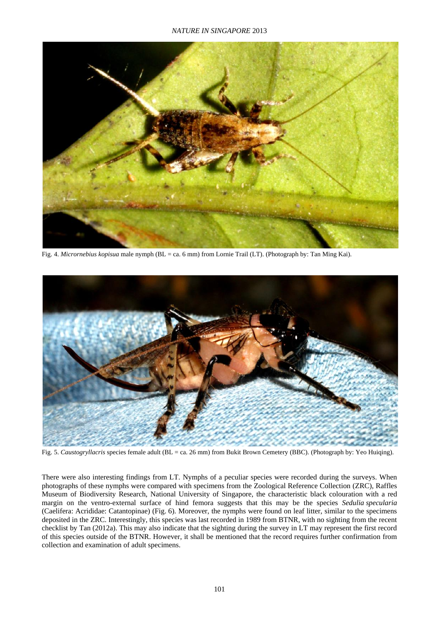## *NATURE IN SINGAPORE* 2013



Fig. 4. *Micrornebius kopisua* male nymph (BL = ca. 6 mm) from Lornie Trail (LT). (Photograph by: Tan Ming Kai).



Fig. 5. *Caustogryllacris* species female adult (BL = ca. 26 mm) from Bukit Brown Cemetery (BBC). (Photograph by: Yeo Huiqing).

There were also interesting findings from LT. Nymphs of a peculiar species were recorded during the surveys. When photographs of these nymphs were compared with specimens from the Zoological Reference Collection (ZRC), Raffles Museum of Biodiversity Research, National University of Singapore, the characteristic black colouration with a red margin on the ventro-external surface of hind femora suggests that this may be the species *Sedulia specularia* (Caelifera: Acrididae: Catantopinae) (Fig. 6). Moreover, the nymphs were found on leaf litter, similar to the specimens deposited in the ZRC. Interestingly, this species was last recorded in 1989 from BTNR, with no sighting from the recent checklist by Tan (2012a). This may also indicate that the sighting during the survey in LT may represent the first record of this species outside of the BTNR. However, it shall be mentioned that the record requires further confirmation from collection and examination of adult specimens.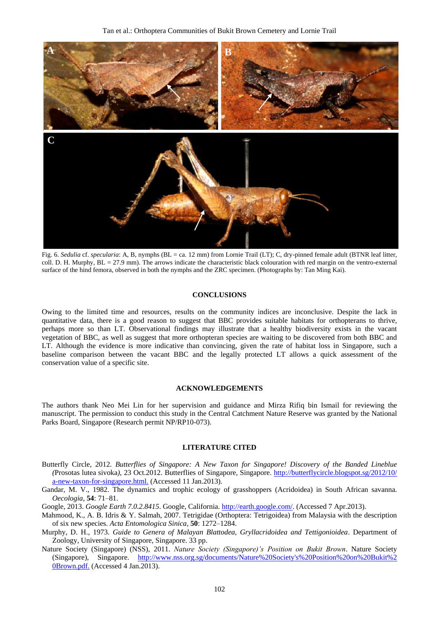

Fig. 6. *Sedulia* cf. *specularia*: A, B, nymphs (BL = ca. 12 mm) from Lornie Trail (LT); C, dry-pinned female adult (BTNR leaf litter, coll. D. H. Murphy,  $BL = 27.9$  mm). The arrows indicate the characteristic black colouration with red margin on the ventro-external surface of the hind femora, observed in both the nymphs and the ZRC specimen. (Photographs by: Tan Ming Kai).

## **CONCLUSIONS**

Owing to the limited time and resources, results on the community indices are inconclusive. Despite the lack in quantitative data, there is a good reason to suggest that BBC provides suitable habitats for orthopterans to thrive, perhaps more so than LT. Observational findings may illustrate that a healthy biodiversity exists in the vacant vegetation of BBC, as well as suggest that more orthopteran species are waiting to be discovered from both BBC and LT. Although the evidence is more indicative than convincing, given the rate of habitat loss in Singapore, such a baseline comparison between the vacant BBC and the legally protected LT allows a quick assessment of the conservation value of a specific site.

#### **ACKNOWLEDGEMENTS**

The authors thank Neo Mei Lin for her supervision and guidance and Mirza Rifiq bin Ismail for reviewing the manuscript. The permission to conduct this study in the Central Catchment Nature Reserve was granted by the National Parks Board, Singapore (Research permit NP/RP10-073).

### **LITERATURE CITED**

- Butterfly Circle, 2012. *Butterflies of Singapore: A New Taxon for Singapore! Discovery of the Banded Lineblue (*Prosotas lutea sivoka*)*, 23 Oct.2012. Butterflies of Singapore, Singapore. [http://butterflycircle.blogspot.sg/2012/10/](http://butterflycircle.blogspot.sg/2012/10/a-new-taxon-for-singapore.html)  [a-new-taxon-for-singapore.html.](http://butterflycircle.blogspot.sg/2012/10/a-new-taxon-for-singapore.html) (Accessed 11 Jan.2013).
- Gandar, M. V., 1982. The dynamics and trophic ecology of grasshoppers (Acridoidea) in South African savanna. *Oecologia*, **54**: 71–81.
- Google, 2013. *Google Earth 7.0.2.8415*. Google, California. [http://earth.google.com/.](http://earth.google.com/) (Accessed 7 Apr.2013).
- Mahmood, K., A. B. Idris & Y. Salmah, 2007. Tetrigidae (Orthoptera: Tetrigoidea) from Malaysia with the description of six new species. *Acta Entomologica Sinica*, **50**: 1272–1284.
- Murphy, D. H., 1973. *Guide to Genera of Malayan Blattodea, Gryllacridoidea and Tettigonioidea*. Department of Zoology, University of Singapore, Singapore. 33 pp.
- Nature Society (Singapore) (NSS), 2011. *Nature Society (Singapore)'s Position on Bukit Brown*. Nature Society (Singapore), Singapore. [http://www.nss.org.sg/documents/Nature%20Society's%20Position%20on%20Bukit%2](http://www.nss.org.sg/documents/Nature%20Society)  [0Brown.pdf](http://www.nss.org.sg/documents/Nature%20Society). (Accessed 4 Jan.2013).